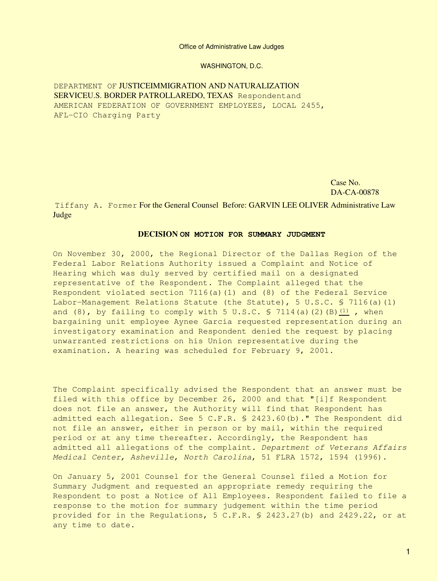Office of Administrative Law Judges

WASHINGTON, D.C.

DEPARTMENT OF JUSTICEIMMIGRATION AND NATURALIZATION SERVICEU.S. BORDER PATROLLAREDO, TEXAS Respondentand AMERICAN FEDERATION OF GOVERNMENT EMPLOYEES, LOCAL 2455, AFL-CIO Charging Party

> Case No. DA-CA-00878

Tiffany A. Former For the General Counsel Before: GARVIN LEE OLIVER Administrative Law Judge

## **DECISION ON MOTION FOR SUMMARY JUDGMENT**

On November 30, 2000, the Regional Director of the Dallas Region of the Federal Labor Relations Authority issued a Complaint and Notice of Hearing which was duly served by certified mail on a designated representative of the Respondent. The Complaint alleged that the Respondent violated section 7116(a)(1) and (8) of the Federal Service Labor-Management Relations Statute (the Statute), 5 U.S.C. § 7116(a)(1) and (8), by failing to comply with 5 U.S.C. § 7114(a)(2)(B) $\frac{(1)}{(1)}$  $\frac{(1)}{(1)}$  $\frac{(1)}{(1)}$ , when bargaining unit employee Aynee Garcia requested representation during an investigatory examination and Respondent denied the request by placing unwarranted restrictions on his Union representative during the examination. A hearing was scheduled for February 9, 2001.

The Complaint specifically advised the Respondent that an answer must be filed with this office by December 26, 2000 and that "[i]f Respondent does not file an answer, the Authority will find that Respondent has admitted each allegation. See 5 C.F.R. § 2423.60(b)." The Respondent did not file an answer, either in person or by mail, within the required period or at any time thereafter. Accordingly, the Respondent has admitted all allegations of the complaint. *Department of Veterans Affairs Medical Center, Asheville, North Carolina*, 51 FLRA 1572, 1594 (1996).

On January 5, 2001 Counsel for the General Counsel filed a Motion for Summary Judgment and requested an appropriate remedy requiring the Respondent to post a Notice of All Employees. Respondent failed to file a response to the motion for summary judgement within the time period provided for in the Regulations, 5 C.F.R. § 2423.27(b) and 2429.22, or at any time to date.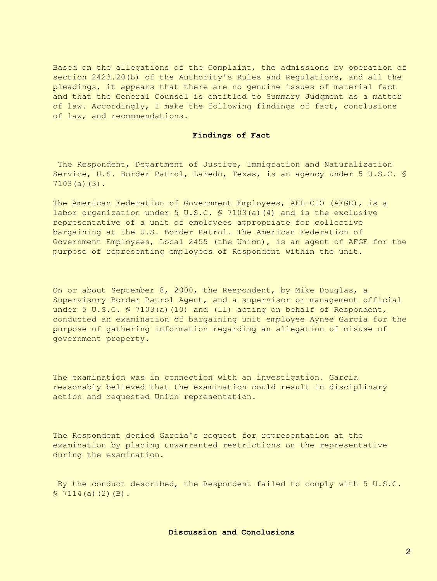Based on the allegations of the Complaint, the admissions by operation of section 2423.20(b) of the Authority's Rules and Regulations, and all the pleadings, it appears that there are no genuine issues of material fact and that the General Counsel is entitled to Summary Judgment as a matter of law. Accordingly, I make the following findings of fact, conclusions of law, and recommendations.

#### **Findings of Fact**

 The Respondent, Department of Justice, Immigration and Naturalization Service, U.S. Border Patrol, Laredo, Texas, is an agency under 5 U.S.C. § 7103(a)(3).

The American Federation of Government Employees, AFL-CIO (AFGE), is a labor organization under 5 U.S.C. § 7103(a)(4) and is the exclusive representative of a unit of employees appropriate for collective bargaining at the U.S. Border Patrol. The American Federation of Government Employees, Local 2455 (the Union), is an agent of AFGE for the purpose of representing employees of Respondent within the unit.

On or about September 8, 2000, the Respondent, by Mike Douglas, a Supervisory Border Patrol Agent, and a supervisor or management official under 5 U.S.C. § 7103(a)(10) and (11) acting on behalf of Respondent, conducted an examination of bargaining unit employee Aynee Garcia for the purpose of gathering information regarding an allegation of misuse of government property.

The examination was in connection with an investigation. Garcia reasonably believed that the examination could result in disciplinary action and requested Union representation.

The Respondent denied Garcia's request for representation at the examination by placing unwarranted restrictions on the representative during the examination.

 By the conduct described, the Respondent failed to comply with 5 U.S.C.  $$7114(a)(2)(B).$ 

**Discussion and Conclusions**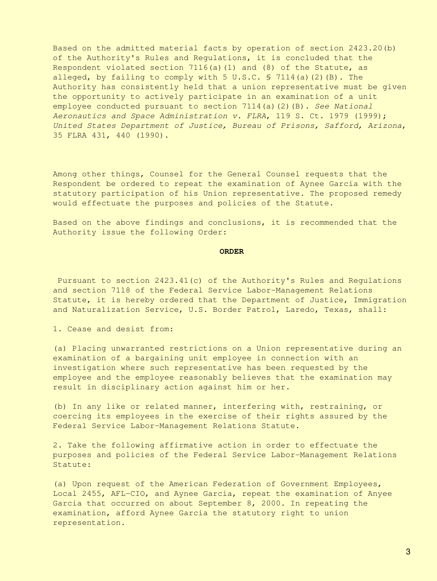Based on the admitted material facts by operation of section 2423.20(b) of the Authority's Rules and Regulations, it is concluded that the Respondent violated section  $7116(a)(1)$  and  $(8)$  of the Statute, as alleged, by failing to comply with 5 U.S.C.  $\frac{1}{2}$  7114(a)(2)(B). The Authority has consistently held that a union representative must be given the opportunity to actively participate in an examination of a unit employee conducted pursuant to section 7114(a)(2)(B). *See National Aeronautics and Space Administration v. FLRA*, 119 S. Ct. 1979 (1999); *United States Department of Justice, Bureau of Prisons, Safford, Arizona*, 35 FLRA 431, 440 (1990).

Among other things, Counsel for the General Counsel requests that the Respondent be ordered to repeat the examination of Aynee Garcia with the statutory participation of his Union representative. The proposed remedy would effectuate the purposes and policies of the Statute.

Based on the above findings and conclusions, it is recommended that the Authority issue the following Order:

#### **ORDER**

 Pursuant to section 2423.41(c) of the Authority's Rules and Regulations and section 7118 of the Federal Service Labor-Management Relations Statute, it is hereby ordered that the Department of Justice, Immigration and Naturalization Service, U.S. Border Patrol, Laredo, Texas, shall:

1. Cease and desist from:

(a) Placing unwarranted restrictions on a Union representative during an examination of a bargaining unit employee in connection with an investigation where such representative has been requested by the employee and the employee reasonably believes that the examination may result in disciplinary action against him or her.

(b) In any like or related manner, interfering with, restraining, or coercing its employees in the exercise of their rights assured by the Federal Service Labor-Management Relations Statute.

2. Take the following affirmative action in order to effectuate the purposes and policies of the Federal Service Labor-Management Relations Statute:

(a) Upon request of the American Federation of Government Employees, Local 2455, AFL-CIO, and Aynee Garcia, repeat the examination of Anyee Garcia that occurred on about September 8, 2000. In repeating the examination, afford Aynee Garcia the statutory right to union representation.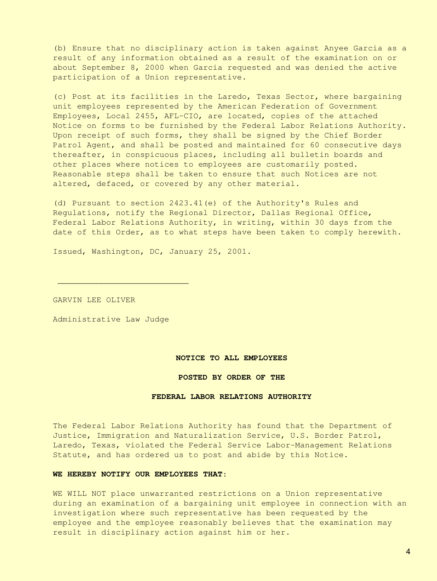(b) Ensure that no disciplinary action is taken against Anyee Garcia as a result of any information obtained as a result of the examination on or about September 8, 2000 when Garcia requested and was denied the active participation of a Union representative.

(c) Post at its facilities in the Laredo, Texas Sector**,** where bargaining unit employees represented by the American Federation of Government Employees, Local 2455, AFL-CIO, are located, copies of the attached Notice on forms to be furnished by the Federal Labor Relations Authority. Upon receipt of such forms, they shall be signed by the Chief Border Patrol Agent, and shall be posted and maintained for 60 consecutive days thereafter, in conspicuous places, including all bulletin boards and other places where notices to employees are customarily posted. Reasonable steps shall be taken to ensure that such Notices are not altered, defaced, or covered by any other material.

(d) Pursuant to section 2423.41(e) of the Authority's Rules and Regulations, notify the Regional Director, Dallas Regional Office, Federal Labor Relations Authority, in writing, within 30 days from the date of this Order, as to what steps have been taken to comply herewith.

Issued, Washington, DC, January 25, 2001.

GARVIN LEE OLIVER

Administrative Law Judge

 $\overline{\phantom{a}}$  , which is a set of the set of the set of the set of the set of the set of the set of the set of the set of the set of the set of the set of the set of the set of the set of the set of the set of the set of th

## **NOTICE TO ALL EMPLOYEES**

#### **POSTED BY ORDER OF THE**

## **FEDERAL LABOR RELATIONS AUTHORITY**

The Federal Labor Relations Authority has found that the Department of Justice, Immigration and Naturalization Service, U.S. Border Patrol, Laredo, Texas, violated the Federal Service Labor-Management Relations Statute, and has ordered us to post and abide by this Notice.

# **WE HEREBY NOTIFY OUR EMPLOYEES THAT**:

WE WILL NOT place unwarranted restrictions on a Union representative during an examination of a bargaining unit employee in connection with an investigation where such representative has been requested by the employee and the employee reasonably believes that the examination may result in disciplinary action against him or her.